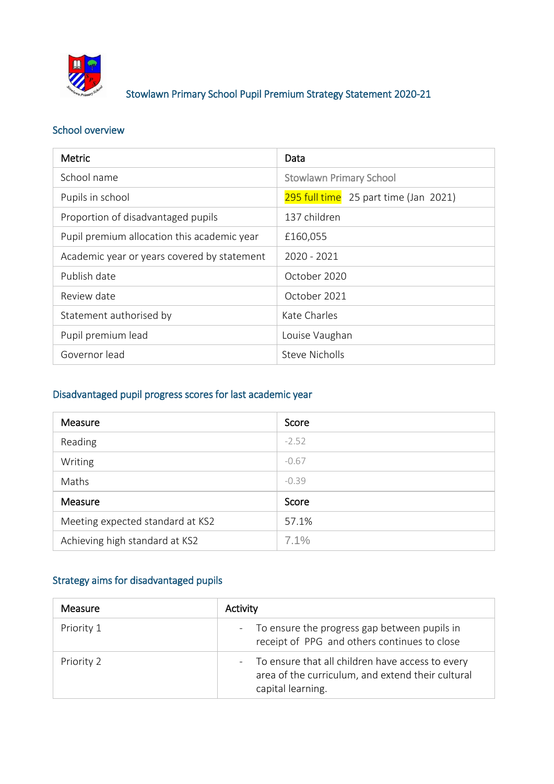

## Stowlawn Primary School Pupil Premium Strategy Statement 2020-21

## School overview

| <b>Metric</b>                               | Data                                  |
|---------------------------------------------|---------------------------------------|
| School name                                 | <b>Stowlawn Primary School</b>        |
| Pupils in school                            | 295 full time 25 part time (Jan 2021) |
| Proportion of disadvantaged pupils          | 137 children                          |
| Pupil premium allocation this academic year | £160,055                              |
| Academic year or years covered by statement | 2020 - 2021                           |
| Publish date                                | October 2020                          |
| Review date                                 | October 2021                          |
| Statement authorised by                     | Kate Charles                          |
| Pupil premium lead                          | Louise Vaughan                        |
| Governor lead                               | <b>Steve Nicholls</b>                 |

## Disadvantaged pupil progress scores for last academic year

| Measure                          | Score   |
|----------------------------------|---------|
| Reading                          | $-2.52$ |
| Writing                          | $-0.67$ |
| Maths                            | $-0.39$ |
| Measure                          | Score   |
| Meeting expected standard at KS2 | 57.1%   |
| Achieving high standard at KS2   | 7.1%    |

## Strategy aims for disadvantaged pupils

| <b>Measure</b> | Activity                                                                                                                     |
|----------------|------------------------------------------------------------------------------------------------------------------------------|
| Priority 1     | - To ensure the progress gap between pupils in<br>receipt of PPG and others continues to close                               |
| Priority 2     | - To ensure that all children have access to every<br>area of the curriculum, and extend their cultural<br>capital learning. |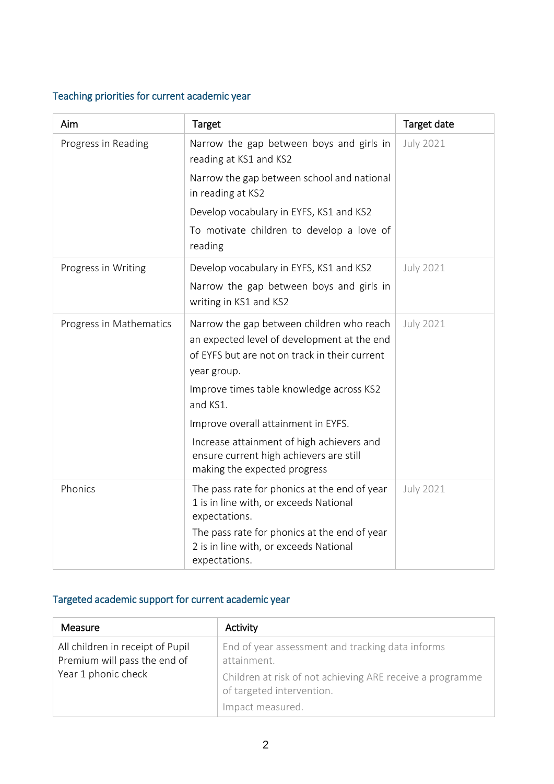## Teaching priorities for current academic year

| Aim                     | Target                                                                                                                                                   | Target date      |
|-------------------------|----------------------------------------------------------------------------------------------------------------------------------------------------------|------------------|
| Progress in Reading     | Narrow the gap between boys and girls in<br>reading at KS1 and KS2                                                                                       | <b>July 2021</b> |
|                         | Narrow the gap between school and national<br>in reading at KS2                                                                                          |                  |
|                         | Develop vocabulary in EYFS, KS1 and KS2                                                                                                                  |                  |
|                         | To motivate children to develop a love of<br>reading                                                                                                     |                  |
| Progress in Writing     | Develop vocabulary in EYFS, KS1 and KS2                                                                                                                  | <b>July 2021</b> |
|                         | Narrow the gap between boys and girls in<br>writing in KS1 and KS2                                                                                       |                  |
| Progress in Mathematics | Narrow the gap between children who reach<br>an expected level of development at the end<br>of EYFS but are not on track in their current<br>year group. | <b>July 2021</b> |
|                         | Improve times table knowledge across KS2<br>and KS1.                                                                                                     |                  |
|                         | Improve overall attainment in EYFS.                                                                                                                      |                  |
|                         | Increase attainment of high achievers and<br>ensure current high achievers are still<br>making the expected progress                                     |                  |
| Phonics                 | The pass rate for phonics at the end of year<br>1 is in line with, or exceeds National<br>expectations.                                                  | <b>July 2021</b> |
|                         | The pass rate for phonics at the end of year<br>2 is in line with, or exceeds National<br>expectations.                                                  |                  |

# Targeted academic support for current academic year

| <b>Measure</b>                                                   | Activity                                                                               |
|------------------------------------------------------------------|----------------------------------------------------------------------------------------|
| All children in receipt of Pupil<br>Premium will pass the end of | End of year assessment and tracking data informs<br>attainment.                        |
| Year 1 phonic check                                              | Children at risk of not achieving ARE receive a programme<br>of targeted intervention. |
|                                                                  | Impact measured.                                                                       |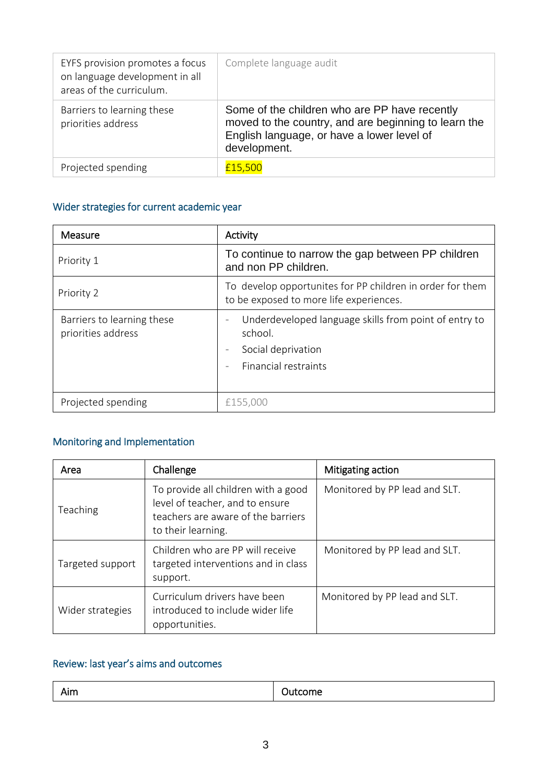| EYFS provision promotes a focus<br>on language development in all<br>areas of the curriculum. | Complete language audit                                                                                                                                             |
|-----------------------------------------------------------------------------------------------|---------------------------------------------------------------------------------------------------------------------------------------------------------------------|
| Barriers to learning these<br>priorities address                                              | Some of the children who are PP have recently<br>moved to the country, and are beginning to learn the<br>English language, or have a lower level of<br>development. |
| Projected spending                                                                            | £15,500                                                                                                                                                             |

## Wider strategies for current academic year

| Measure                                          | Activity                                                                                                                                                     |
|--------------------------------------------------|--------------------------------------------------------------------------------------------------------------------------------------------------------------|
| Priority 1                                       | To continue to narrow the gap between PP children<br>and non PP children.                                                                                    |
| Priority 2                                       | To develop opportunites for PP children in order for them<br>to be exposed to more life experiences.                                                         |
| Barriers to learning these<br>priorities address | Underdeveloped language skills from point of entry to<br>$\overline{a}$<br>school.<br>Social deprivation<br>$\overline{\phantom{a}}$<br>Financial restraints |
| Projected spending                               | £155,000                                                                                                                                                     |

#### Monitoring and Implementation

| Area             | Challenge                                                                                                                          | Mitigating action             |
|------------------|------------------------------------------------------------------------------------------------------------------------------------|-------------------------------|
| Teaching         | To provide all children with a good<br>level of teacher, and to ensure<br>teachers are aware of the barriers<br>to their learning. | Monitored by PP lead and SLT. |
| Targeted support | Children who are PP will receive<br>targeted interventions and in class<br>support.                                                | Monitored by PP lead and SLT. |
| Wider strategies | Curriculum drivers have been<br>introduced to include wider life<br>opportunities.                                                 | Monitored by PP lead and SLT. |

## Review: last year's aims and outcomes

| . .<br>- -- -<br>וווור<br>סוווט.<br>. |
|---------------------------------------|
|---------------------------------------|